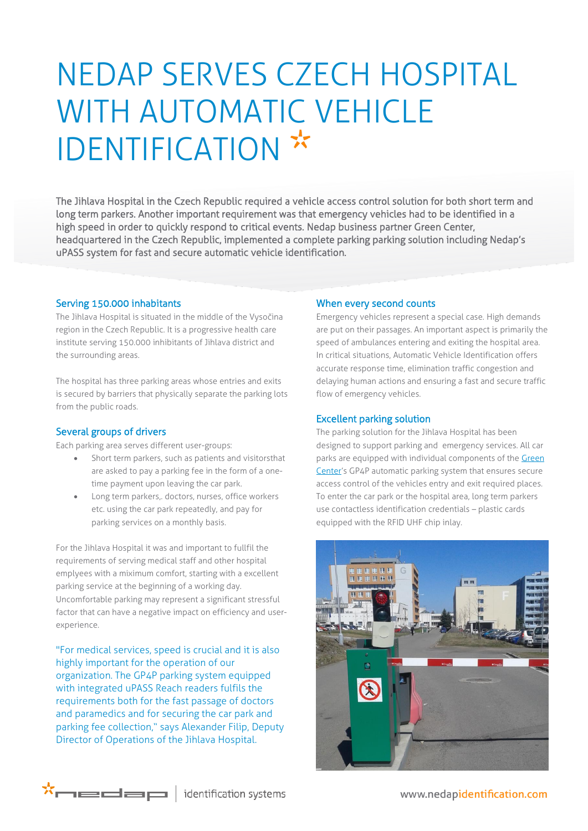# NEDAP SERVES CZECH HOSPITAL WITH AUTOMATIC VEHICLE IDENTIFICATION \*

The Jihlava Hospital in the Czech Republic required a vehicle access control solution for both short term and long term parkers. Another important requirement was that emergency vehicles had to be identified in a high speed in order to quickly respond to critical events. Nedap business partner Green Center, headquartered in the Czech Republic, implemented a complete parking parking solution including Nedap's uPASS system for fast and secure automatic vehicle identification.

## Serving 150.000 inhabitants

The Jihlava Hospital is situated in the middle of the Vysočina region in the Czech Republic. It is a progressive health care institute serving 150.000 inhibitants of Jihlava district and the surrounding areas.

The hospital has three parking areas whose entries and exits is secured by barriers that physically separate the parking lots from the public roads.

## Several groups of drivers

Each parking area serves different user-groups:

- Short term parkers, such as patients and visitorsthat are asked to pay a parking fee in the form of a onetime payment upon leaving the car park.
- Long term parkers,. doctors, nurses, office workers etc. using the car park repeatedly, and pay for parking services on a monthly basis.

For the Jihlava Hospital it was and important to fullfil the requirements of serving medical staff and other hospital emplyees with a miximum comfort, starting with a excellent parking service at the beginning of a working day. Uncomfortable parking may represent a significant stressful factor that can have a negative impact on efficiency and userexperience.

"For medical services, speed is crucial and it is also highly important for the operation of our organization. The GP4P parking system equipped with integrated uPASS Reach readers fulfils the requirements both for the fast passage of doctors and paramedics and for securing the car park and parking fee collection," says Alexander Filip, Deputy Director of Operations of the Jihlava Hospital.

#### When every second counts

Emergency vehicles represent a special case. High demands are put on their passages. An important aspect is primarily the speed of ambulances entering and exiting the hospital area. In critical situations, Automatic Vehicle Identification offers accurate response time, elimination traffic congestion and delaying human actions and ensuring a fast and secure traffic flow of emergency vehicles.

#### Excellent parking solution

The parking solution for the Jihlava Hospital has been designed to support parking and emergency services. All car parks are equipped with individual components of the Green [Center](http://www.green.cz/)'s GP4P automatic parking system that ensures secure access control of the vehicles entry and exit required places. To enter the car park or the hospital area, long term parkers use contactless identification credentials – plastic cards equipped with the RFID UHF chip inlay.





www.nedapidentification.com